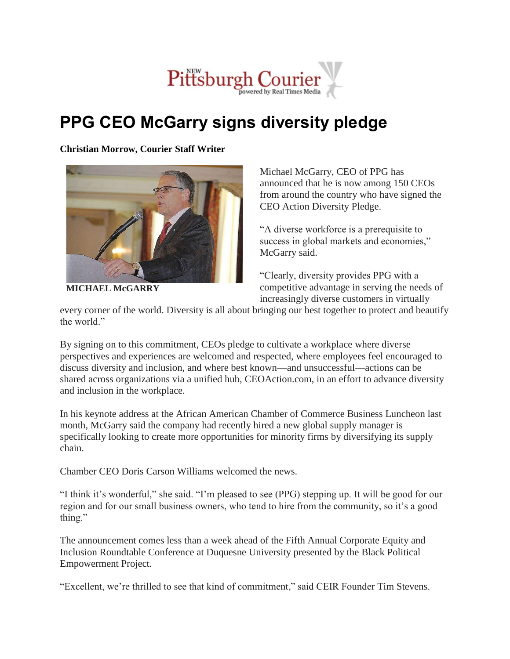

## **PPG CEO McGarry signs diversity pledge**

**Christian Morrow, Courier Staff Writer**



**MICHAEL McGARRY**

Michael McGarry, CEO of PPG has announced that he is now among 150 CEOs from around the country who have signed the CEO Action Diversity Pledge.

"A diverse workforce is a prerequisite to success in global markets and economies," McGarry said.

"Clearly, diversity provides PPG with a competitive advantage in serving the needs of increasingly diverse customers in virtually

every corner of the world. Diversity is all about bringing our best together to protect and beautify the world."

By signing on to this commitment, CEOs pledge to cultivate a workplace where diverse perspectives and experiences are welcomed and respected, where employees feel encouraged to discuss diversity and inclusion, and where best known—and unsuccessful—actions can be shared across organizations via a unified hub, CEOAction.com, in an effort to advance diversity and inclusion in the workplace.

In his keynote address at the African American Chamber of Commerce Business Luncheon last month, McGarry said the company had recently hired a new global supply manager is specifically looking to create more opportunities for minority firms by diversifying its supply chain.

Chamber CEO Doris Carson Williams welcomed the news.

"I think it's wonderful," she said. "I'm pleased to see (PPG) stepping up. It will be good for our region and for our small business owners, who tend to hire from the community, so it's a good thing."

The announcement comes less than a week ahead of the Fifth Annual Corporate Equity and Inclusion Roundtable Conference at Duquesne University presented by the Black Political Empowerment Project.

"Excellent, we're thrilled to see that kind of commitment," said CEIR Founder Tim Stevens.